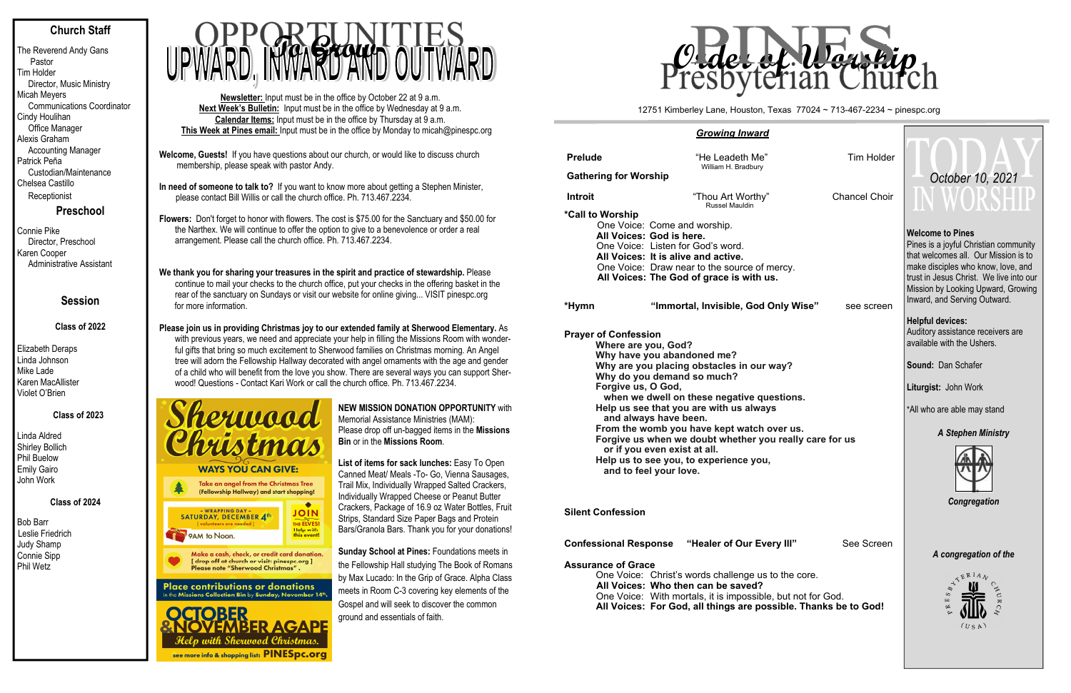# **Church Staff**

The Reverend Andy Gans Pastor Tim Holder Director, Music Ministry Micah Meyers Communications Coordinator Cindy Houlihan Office Manager Alexis Graham Accounting Manager Patrick Peña Custodian/Maintenance Chelsea Castillo **Receptionist** 

# **Preschool**

Connie Pike Director, Preschool Karen Cooper Administrative Assistant

# **Session**

### **Class of 2022**

Elizabeth Deraps Linda Johnson Mike Lade Karen MacAllister Violet O'Brien

# **Class of 2023**

Linda Aldred Shirley Bollich Phil Buelow Emily Gairo John Work

 **Class of 2024** 

Bob Barr Leslie Friedrich Judy Shamp Connie Sipp Phil Wetz

- **Welcome, Guests!** If you have questions about our church, or would like to discuss church membership, please speak with pastor Andy.
- **In need of someone to talk to?** If you want to know more about getting a Stephen Minister, please contact Bill Willis or call the church office. Ph. 713.467.2234.

**Flowers:** Don't forget to honor with flowers. The cost is \$75.00 for the Sanctuary and \$50.00 for the Narthex. We will continue to offer the option to give to a benevolence or order a real arrangement. Please call the church office. Ph. 713.467.2234.

### **We thank you for sharing your treasures in the spirit and practice of stewardship.** Please continue to mail your checks to the church office, put your checks in the offering basket in the rear of the sanctuary on Sundays or visit our website for online giving... VISIT pinespc.org for more information.

**Please join us in providing Christmas joy to our extended family at Sherwood Elementary.** As with previous years, we need and appreciate your help in filling the Missions Room with wonderful gifts that bring so much excitement to Sherwood families on Christmas morning. An Angel tree will adorn the Fellowship Hallway decorated with angel ornaments with the age and gender of a child who will benefit from the love you show. There are several ways you can support Sher-<br>weed! Questions - Qartast Kari Wark an asll the shumb office. Ph. 743,467,9934. wood! Questions - Contact Kari Work or call the church office. Ph. 713.467.2234.



# **Place contributions or donations**<br>in the Missions Collection Bin by Sunday, November 14th.

| <b>Prelude</b>                               | "He Leadeth Me"<br>William H. Bradbury   |               |  |  |  |  |  |  |  |  |
|----------------------------------------------|------------------------------------------|---------------|--|--|--|--|--|--|--|--|
| <b>Gathering for Worship</b>                 |                                          |               |  |  |  |  |  |  |  |  |
| <b>Introit</b>                               | "Thou Art Worthy"<br>Russel Mauldin      | Chancel Choir |  |  |  |  |  |  |  |  |
| <i>*</i> Call to Worship                     |                                          |               |  |  |  |  |  |  |  |  |
| One Voice: Come and worship.                 |                                          |               |  |  |  |  |  |  |  |  |
| All Voices: God is here.                     |                                          |               |  |  |  |  |  |  |  |  |
| One Voice: Listen for God's word.            |                                          |               |  |  |  |  |  |  |  |  |
| All Voices: It is alive and active.          |                                          |               |  |  |  |  |  |  |  |  |
| One Voice: Draw near to the source of mercy. |                                          |               |  |  |  |  |  |  |  |  |
|                                              | All Voices: The God of grace is with us. |               |  |  |  |  |  |  |  |  |
| *Hymn                                        | "Immortal, Invisible, God Only Wise"     | see screen    |  |  |  |  |  |  |  |  |
| <b>Draver of Confeccion</b>                  |                                          |               |  |  |  |  |  |  |  |  |



One Voice: Christ's words challenge us to the core. **All Voices: Who then can be saved?** One Voice: With mortals, it is impossible, but **All Voices: For God, all things are possible.** 

**Newsletter:** Input must be in the office by October 22 at 9 a.m. **Next Week's Bulletin:** Input must be in the office by Wednesday at 9 a.m. **Calendar Items:** Input must be in the office by Thursday at 9 a.m. **This Week at Pines email:** Input must be in the office by Monday to micah@pinespc.org



**NEW MISSION DONATION OPPORTUNITY** with Memorial Assistance Ministries (MAM): Please drop off un-bagged items in the **Missions Bin** or in the **Missions Room**.

**List of items for sack lunches:** Easy To Open Canned Meat/ Meals -To- Go, Vienna Sausages, Trail Mix, Individually Wrapped Salted Crackers, Individually Wrapped Cheese or Peanut Butter Crackers, Package of 16.9 oz Water Bottles, Fruit Strips, Standard Size Paper Bags and Protein Bars/Granola Bars. Thank you for your donations!

**Sunday School at Pines:** Foundations meets in the Fellowship Hall studying The Book of Romans by Max Lucado: In the Grip of Grace. Alpha Class meets in Room C-3 covering key elements of the Gospel and will seek to discover the common ground and essentials of faith.

### *Growing Inward*

**Pra yer of Confession Where are you, God? Why have you abandoned me? Why are you placing obstacles in our way? Why do you demand so much? Forgive us, O God,**  when we dwell on these negative questic **Help us see that you are with us always and always have been.**  From the womb you have kept watch over Forgive us when we doubt whether you really  **or if you even exist at all. Help us to see you, to experience you, and to feel your love.** 

**Silent Confession** 

**Confessional Response "Healer of Our Every II** 

### **Assurance of Grace**

| <b>Tim Holder</b><br><b>Chancel Choir</b>             | October 10, 2021<br>I WORSHIF                                                                                                                                                                                                                                                                                                                                 |  |  |  |  |  |
|-------------------------------------------------------|---------------------------------------------------------------------------------------------------------------------------------------------------------------------------------------------------------------------------------------------------------------------------------------------------------------------------------------------------------------|--|--|--|--|--|
| сy.<br>y Wise"<br>see screen                          | <b>Welcome to Pines</b><br>Pines is a joyful Christian community<br>that welcomes all. Our Mission is to<br>make disciples who know, love, and<br>trust in Jesus Christ. We live into our<br>Mission by Looking Upward, Growing<br>Inward, and Serving Outward.<br><b>Helpful devices:</b><br>Auditory assistance receivers are<br>available with the Ushers. |  |  |  |  |  |
|                                                       | Sound: Dan Schafer                                                                                                                                                                                                                                                                                                                                            |  |  |  |  |  |
| ions.<br>r us.                                        | Liturgist: John Work<br>*All who are able may stand                                                                                                                                                                                                                                                                                                           |  |  |  |  |  |
| eally care for us                                     | <b>A Stephen Ministry</b><br>Congregation                                                                                                                                                                                                                                                                                                                     |  |  |  |  |  |
| III"<br>See Screen                                    | A congregation of the                                                                                                                                                                                                                                                                                                                                         |  |  |  |  |  |
| he core.<br>ut not for God.<br>ble. Thanks be to God! | $E^{RIA}$<br>⇘<br>S<br>щ<br>ø<br>(USA)                                                                                                                                                                                                                                                                                                                        |  |  |  |  |  |

#### 12751 Kimberley Lane, Houston, Texas 77024 ~ 713-467-2234 ~ pinespc.org